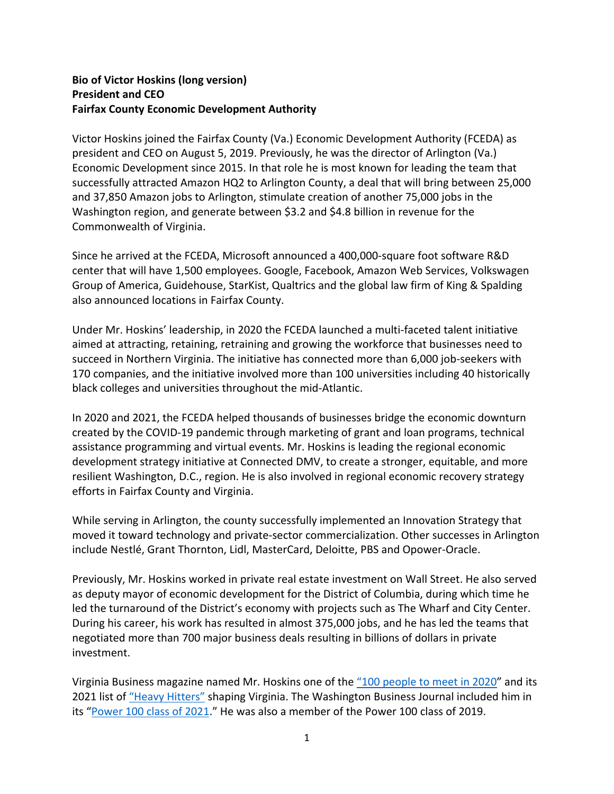## **Bio of Victor Hoskins (long version) President and CEO Fairfax County Economic Development Authority**

Victor Hoskins joined the Fairfax County (Va.) Economic Development Authority (FCEDA) as president and CEO on August 5, 2019. Previously, he was the director of Arlington (Va.) Economic Development since 2015. In that role he is most known for leading the team that successfully attracted Amazon HQ2 to Arlington County, a deal that will bring between 25,000 and 37,850 Amazon jobs to Arlington, stimulate creation of another 75,000 jobs in the Washington region, and generate between \$3.2 and \$4.8 billion in revenue for the Commonwealth of Virginia.

Since he arrived at the FCEDA, Microsoft announced a 400,000-square foot software R&D center that will have 1,500 employees. Google, Facebook, Amazon Web Services, Volkswagen Group of America, Guidehouse, StarKist, Qualtrics and the global law firm of King & Spalding also announced locations in Fairfax County.

Under Mr. Hoskins' leadership, in 2020 the FCEDA launched a multi-faceted talent initiative aimed at attracting, retaining, retraining and growing the workforce that businesses need to succeed in Northern Virginia. The initiative has connected more than 6,000 job-seekers with 170 companies, and the initiative involved more than 100 universities including 40 historically black colleges and universities throughout the mid-Atlantic.

In 2020 and 2021, the FCEDA helped thousands of businesses bridge the economic downturn created by the COVID-19 pandemic through marketing of grant and loan programs, technical assistance programming and virtual events. Mr. Hoskins is leading the regional economic development strategy initiative at Connected DMV, to create a stronger, equitable, and more resilient Washington, D.C., region. He is also involved in regional economic recovery strategy efforts in Fairfax County and Virginia.

While serving in Arlington, the county successfully implemented an Innovation Strategy that moved it toward technology and private-sector commercialization. Other successes in Arlington include Nestlé, Grant Thornton, Lidl, MasterCard, Deloitte, PBS and Opower-Oracle.

Previously, Mr. Hoskins worked in private real estate investment on Wall Street. He also served as deputy mayor of economic development for the District of Columbia, during which time he led the turnaround of the District's economy with projects such as The Wharf and City Center. During his career, his work has resulted in almost 375,000 jobs, and he has led the teams that negotiated more than 700 major business deals resulting in billions of dollars in private investment.

Virginia Business magazine named Mr. Hoskins one of the "100 people to meet in 2020" and its 2021 list of "Heavy Hitters" shaping Virginia. The Washington Business Journal included him in its "Power 100 class of 2021." He was also a member of the Power 100 class of 2019.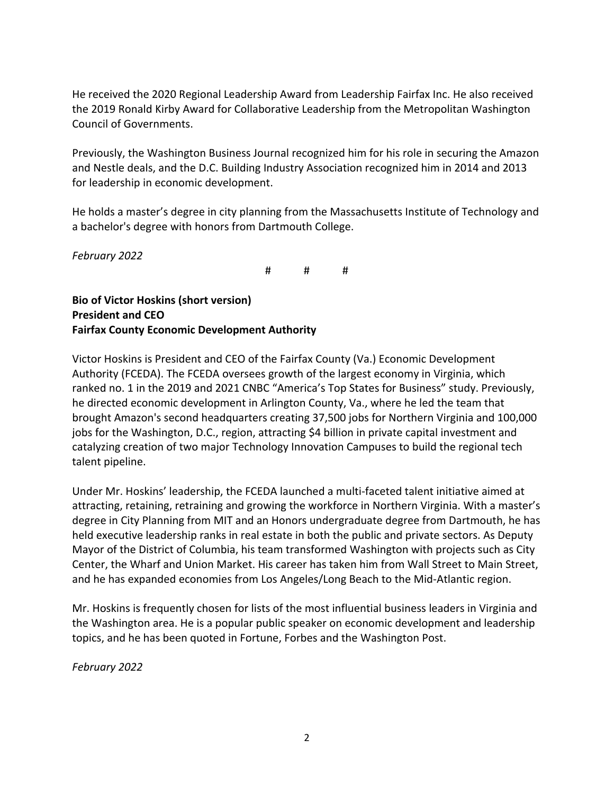He received the 2020 Regional Leadership Award from Leadership Fairfax Inc. He also received the 2019 Ronald Kirby Award for Collaborative Leadership from the Metropolitan Washington Council of Governments.

Previously, the Washington Business Journal recognized him for his role in securing the Amazon and Nestle deals, and the D.C. Building Industry Association recognized him in 2014 and 2013 for leadership in economic development.

He holds a master's degree in city planning from the Massachusetts Institute of Technology and a bachelor's degree with honors from Dartmouth College.

*February 2022*

# # #

**Bio of Victor Hoskins (short version) President and CEO Fairfax County Economic Development Authority**

Victor Hoskins is President and CEO of the Fairfax County (Va.) Economic Development Authority (FCEDA). The FCEDA oversees growth of the largest economy in Virginia, which ranked no. 1 in the 2019 and 2021 CNBC "America's Top States for Business" study. Previously, he directed economic development in Arlington County, Va., where he led the team that brought Amazon's second headquarters creating 37,500 jobs for Northern Virginia and 100,000 jobs for the Washington, D.C., region, attracting \$4 billion in private capital investment and catalyzing creation of two major Technology Innovation Campuses to build the regional tech talent pipeline.

Under Mr. Hoskins' leadership, the FCEDA launched a multi-faceted talent initiative aimed at attracting, retaining, retraining and growing the workforce in Northern Virginia. With a master's degree in City Planning from MIT and an Honors undergraduate degree from Dartmouth, he has held executive leadership ranks in real estate in both the public and private sectors. As Deputy Mayor of the District of Columbia, his team transformed Washington with projects such as City Center, the Wharf and Union Market. His career has taken him from Wall Street to Main Street, and he has expanded economies from Los Angeles/Long Beach to the Mid-Atlantic region.

Mr. Hoskins is frequently chosen for lists of the most influential business leaders in Virginia and the Washington area. He is a popular public speaker on economic development and leadership topics, and he has been quoted in Fortune, Forbes and the Washington Post.

*February 2022*